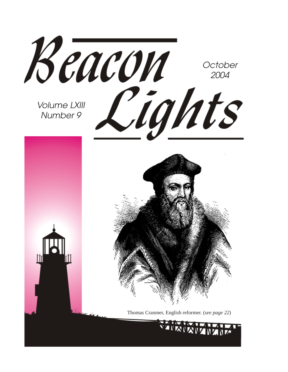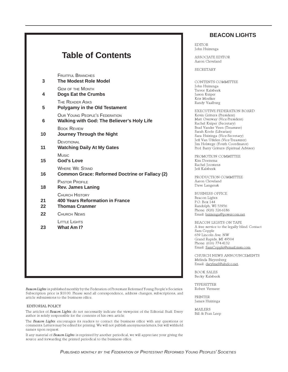|               | <b>FRUITFUL BRANCHES</b>                                                           |
|---------------|------------------------------------------------------------------------------------|
| 3             | <b>The Modest Role Model</b><br><b>GEM OF THE MONTH</b>                            |
| 4             | <b>Dogs Eat the Crumbs</b>                                                         |
| 5             | <b>THE READER ASKS</b><br><b>Polygamy in the Old Testament</b>                     |
| 6             | <b>OUR YOUNG PEOPLE'S FEDERATION</b><br>Walking with God: The Believer's Holy Life |
| 10            | <b>BOOK REVIEW</b><br><b>Journey Through the Night</b>                             |
| 11            | DEVOTIONAL<br><b>Watching Daily At My Gates</b>                                    |
| 15            | Music<br><b>God's Love</b>                                                         |
| 16            | <b>WHERE WE STAND</b><br><b>Common Grace: Reformed Doctrine or Fallacy (2)</b>     |
| 18            | <b>PASTOR PROFILE</b><br><b>Rev. James Laning</b>                                  |
| 21<br>$22 \,$ | CHURCH HISTORY<br><b>400 Years Reformation in France</b><br><b>Thomas Cranmer</b>  |
| 22            | <b>CHURCH NEWS</b>                                                                 |
| 23            | LITTLE LIGHTS<br>What Am I?                                                        |
|               |                                                                                    |

Beacon Lights is published monthly by the Federation of Protestant Reformed Young People's Societies. Subscription price is \$10.00. Please send all correspondence, address changes, subscriptions, and article submissions to the business office.

#### EDITORIAL POLICY

The articles of Beacon Lights do not necessarily indicate the viewpoint of the Editorial Staff. Every author is solely responsible for the contents of his own article.

The Beacon Lights encourages its readers to contact the business office with any questions or comments. Letters may be edited for printing. We will not publish anonymous letters, but will withhold names upon request.

If any material of Beacon Lights is reprinted by another periodical, we will appreciate your giving the source and forwarding the printed periodical to the business office.

#### **BEACON LIGHTS**

EDITOR John Huizenga

ASSOCIATE EDITOR Aaron Cleveland

SECRETARY

CONTENTS COMMITTEE John Huizenga Trevor Kalsbeek Jason Kuiper Kris Moelker Randy Vaalburg

EXECUTIVE FEDERATION BOARD Kevin Gritters (President) Matt Overway (Vice-President) Rachel Kuiper (Secretary) Brad Vander Veen (Treasurer) Sarah Koole (Librarian) Sara Huizinga (Vice-Secretary) Jeff Van Uffelen (Vice-Treasurer) Jim Holstege (Youth Coordinator) Prof. Barry Gritters (Spiritual Advisor)

PROMOTION COMMITTEE Kim Doezema Rachel Joostens Jeff Kalsbeek

PRODUCTION COMMITTEE Aaron Cleveland Dave Langerak

BUSINESS OFFICE Beacon Lights P.O. Box 144 Randolph, WI 53956 Phone: (920) 326-6186 Email: huizenga@powercom.net

BEACON LIGHTS ON TAPE A free service to the legally blind. Contact Sam Copple 659 Lincoln Ave. NW Grand Rapids, MI 49504 Phone: (616) 774-4132 Email: SamCopple@email.msn.com

CHURCH NEWS ANNOUNCEMENTS Melinda Bleyenberg Email: darylmel@altelco.net.

BOOK SALES Becky Kalsbeek

TYPESETTER Robert Vermeer

PRINTER James Huizinga

MAILERS Bill & Fran Leep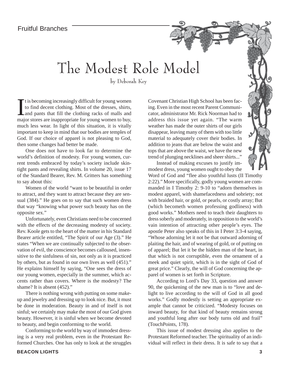### The Modest Role Model

by Deborah Key

It is becoming increasingly difficult for young women<br>to find decent clothing. Most of the dresses, shirts,<br>and pants that fill the clothing racks of malls and<br>major stores are inappropriate for young women to buy, t is becoming increasingly difficult for young women to find decent clothing. Most of the dresses, shirts, and pants that fill the clothing racks of malls and much less wear. In light of this situation, it is vitally important to keep in mind that our bodies are temples of God. If our choice of apparel is not pleasing to God, then some changes had better be made.

One does not have to look far to determine the world's definition of modesty. For young women, current trends embraced by today's society include skintight pants and revealing shirts. In volume 20, issue 17 of the Standard Bearer, Rev. M. Gritters has something to say about this:

Women of the world "want to be beautiful in order to attract, and they want to attract because they are sensual (384)." He goes on to say that such women dress that way "knowing what power such beauty has on the opposite sex."

Unfortunately, even Christians need to be concerned with the effects of the decreasing modesty of society. Rev. Koole gets to the heart of the matter in his Standard Bearer article entitled, "The Spirit of our Age (3)." He states "When we are continually subjected to the observation of evil, the conscience becomes calloused, insensitive to the sinfulness of sin, not only as it is practiced by others, but as found in our own lives as well (451)." He explains himself by saying, "One sees the dress of our young women, especially in the summer, which accents rather than covers. Where is the modesty? The shame? It is absent (452)."

There is nothing wrong with putting on some makeup and jewelry and dressing up to look nice. But, it must be done in moderation. Beauty in and of itself is not sinful; we certainly may make the most of our God given beauty. However, it is sinful when we become devoted to beauty, and begin conforming to the world.

Conforming to the world by way of immodest dressing is a very real problem, even in the Protestant Reformed Churches. One has only to look at the struggles Covenant Christian High School has been facing. Even in the most recent Parent Communicator, administrator Mr. Rick Noorman had to address this issue yet again. "The warm weather has made the outer shirts of our girls disappear, leaving many of them with too little material to adequately cover their bodies. In addition to jeans that are below the waist and tops that are above the waist, we have the new trend of plunging necklines and sheer shirts..."

Instead of making excuses to justify immodest dress, young women ought to obey the

Word of God and "flee also youthful lusts (II Timothy 2:22)." More specifically, godly young women are commanded in I Timothy 2: 9-10 to "adorn themselves in modest apparel, with shamefacedness and sobriety; not with braided hair, or gold, or pearls, or costly array; But (which becometh women professing godliness) with good works." Mothers need to teach their daughters to dress soberly and moderately, in opposition to the world's vain intention of attracting other people's eyes. The apostle Peter also speaks of this in I Peter 3:3-4 saying, "Whose adorning let it not be that outward adorning of plaiting the hair, and of wearing of gold, or of putting on of apparel; But let it be the hidden man of the heart, in that which is not corruptible, even the ornament of a meek and quiet spirit, which is in the sight of God of great price." Clearly, the will of God concerning the apparel of women is set forth in Scripture.

According to Lord's Day 33, question and answer 90, the quickening of the new man is to "love and delight to live according to the will of God in all good works." Godly modestly is setting an appropriate example that cannot be criticized. "Modesty focuses on inward beauty, for that kind of beauty remains strong and youthful long after our body turns old and frail" (TouchPoints, 178).

This issue of modest dressing also applies to the Protestant Reformed teacher. The spirituality of an individual will reflect in their dress. It is safe to say that a



Story Time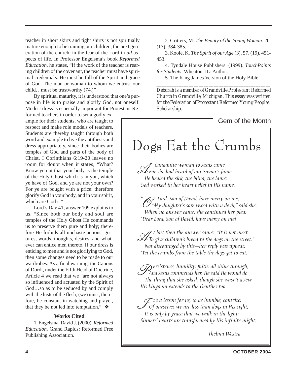teacher in short skirts and tight shirts is not spiritually mature enough to be training our children, the next generation of the church, in the fear of the Lord in *all* aspects of life. In Professor Engelsma's book *Reformed Education*, he states, "If the work of the teacher is rearing children of the covenant, the teacher must have spiritual credentials. He must be full of the Spirit and grace of God. The man or woman to whom we entrust our child…must be trustworthy (74.)"

By spiritual maturity, it is understood that one's purpose in life is to praise and glorify God, not oneself. Modest dress is especially important for Protestant Re-

formed teachers in order to set a godly example for their students, who are taught to respect and make role models of teachers. Students are thereby taught through both word and example to live the antithesis and dress appropriately, since their bodies are temples of God and parts of the body of Christ. I Corinthians 6:19-20 leaves no room for doubt when it states, "What? Know ye not that your body is the temple of the Holy Ghost which is in you, which ye have of God, and ye are not your own? For ye are bought with a price: therefore glorify God in your body, and in your spirit, which are God's."

Lord's Day 41, answer 109 explains to us, "Since both our body and soul are temples of the Holy Ghost He commands us to preserve them pure and holy; therefore He forbids all unchaste actions, gestures, words, thoughts, desires, and whatever can entice men thereto. If our dress is enticing to men and is not glorifying to God, then some changes need to be made to our wardrobes. As a final warning, the Canons of Dordt, under the Fifth Head of Doctrine, Article 4 we read that we "are not always so influenced and actuated by the Spirit of God…so as to be seduced by and comply with the lusts of the flesh; (we) must, therefore, be constant in watching and prayer, that they be not led into temptation."  $\triangleleft$ 

#### **Works Cited**

1. Engelsma, David J. (2000). *Reformed Education*. Grand Rapids: Reformed Free Publishing Association.

2. Gritters, M. *The Beauty of the Young Woman.* 20. (17), 384-385.

3. Koole, K. *The Spirit of our Age* (3). 57. (19), 451- 453.

4. Tyndale House Publishers. (1999). *TouchPoints for Students*. Wheaton, IL: Author.

5. The King James Version of the Holy Bible. *\_\_\_\_\_\_\_\_\_\_\_\_\_\_\_\_\_\_\_\_\_\_\_\_\_\_\_\_\_\_\_\_\_\_\_\_\_\_\_\_\_\_\_\_\_\_*

*Deborah is a member of Grandville Protestant Reformed Church in Grandville, Michigan. This essay was written for the Federation of Protestant Reformed Young Peoples' Scholarship.*

### Gem of the Month Dogs Eat the Crumbs A Canaanite woman to Jesus came For she had heard of our Savior's fame— He healed the sick, the blind, the lame; God worked in her heart belief in His name. "<sup>"</sup>O Lord, Son of David, have mercy on me!<br>"My daughter's sore vexed with a devil," said she.<br>Mhan na anguen cama cha continued har play. When no answer came, she continued her plea: "Dear Lord, Son of David, have mercy on me!"  $\mathcal{A}$  t last then the answer came: "It is not meet<br> $\mathcal{A}$  To give children's bread to the dogs on the street."<br>Not discourand by this , hor roub was unheat: Not discouraged by this—her reply was upbeat: "Yet the crumbs from the table the dogs get to eat."  $\mathcal{D}$  ersistence, humility, faith, all shine through, And Jesus commends her. He said He would do The thing that she asked, though she wasn't a Jew. His kingdom extends to the Gentiles too.  $\mathcal{J}$ t's a lesson for us, to be humble, contrite;<br>Of ourselves we are less than dogs in His sight; It is only by grace that we walk in the light;

Sinners' hearts are transformed by His infinite might.

Thelma Westra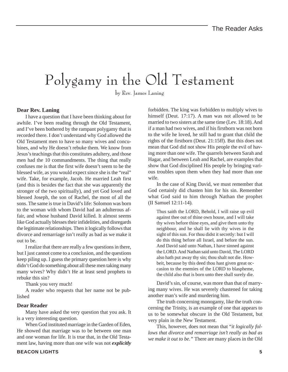# Polygamy in the Old Testament

by Rev. James Laning

#### **Dear Rev. Laning**

I have a question that I have been thinking about for awhile. I've been reading through the Old Testament, and I've been bothered by the rampant polygamy that is recorded there. I don't understand why God allowed the Old Testament men to have so many wives and concubines, and why He doesn't rebuke them. We know from Jesus's teachings that this constitutes adultery, and those men had the 10 commandments. The thing that really confuses me is that the first wife doesn't seem to be the blessed wife, as you would expect since she is the "real" wife. Take, for example, Jacob. He married Leah first (and this is besides the fact that she was apparently the stronger of the two spiritually), and yet God loved and blessed Joseph, the son of Rachel, the most of all the sons. The same is true in David's life: Solomon was born to the woman with whom David had an adulterous affair, and whose husband David killed. It almost seems like God actually blesses their infidelities, and disregards the legitimate relationships. Then it logically follows that divorce and remarriage isn't really as bad as we make it out to be.

I realize that there are really a few questions in there, but I just cannot come to a conclusion, and the questions keep piling up. I guess the primary question here is why didn't God do something about all these men taking many many wives? Why didn't He at least send prophets to rebuke this sin?

Thank you very much!

A reader who requests that her name not be published

#### **Dear Reader**

Many have asked the very question that you ask. It is a very interesting question.

When God instituted marriage in the Garden of Eden, He showed that marriage was to be between one man and one woman for life. It is true that, in the Old Testament law, having more than one wife was not *explicitly*

himself (Deut. 17:17). A man was not allowed to be married to two sisters at the same time (Lev. 18:18). And if a man had two wives, and if his firstborn was not born to the wife he loved, he still had to grant that child the rights of the firstborn (Deut. 21:15ff). But this does not mean that God did not show His people the evil of having more than one wife. The quarrels between Sarah and Hagar, and between Leah and Rachel, are examples that show that God disciplined His people by bringing various troubles upon them when they had more than one wife. In the case of King David, we must remember that

forbidden. The king was forbidden to multiply wives to

God certainly did chasten him for his sin. Remember what God said to him through Nathan the prophet (II Samuel 12:11-14).

Thus saith the LORD, Behold, I will raise up evil against thee out of thine own house, and I will take thy wives before thine eyes, and give them unto thy neighbour, and he shall lie with thy wives in the sight of this sun. For thou didst it secretly: but I will do this thing before all Israel, and before the sun. And David said unto Nathan, I have sinned against the LORD. And Nathan said unto David, The LORD also hath put away thy sin; thou shalt not die. Howbeit, because by this deed thou hast given great occasion to the enemies of the LORD to blaspheme, the child also that is born unto thee shall surely die.

David's sin, of course, was more than that of marrying many wives. He was severely chastened for taking another man's wife and murdering him.

The truth concerning monogamy, like the truth concerning the Trinity, is an example of one that appears to us to be somewhat obscure in the Old Testament, but very plain in the New Testament.

This, however, does not mean that "*it logically follows that divorce and remarriage isn't really as bad as we make it out to be."* There are many places in the Old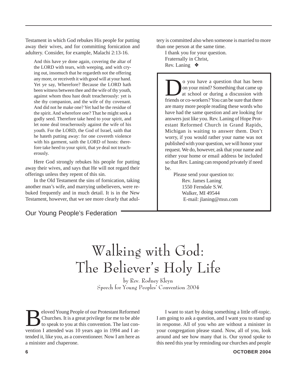Testament in which God rebukes His people for putting away their wives, and for committing fornication and adultery. Consider, for example, Malachi 2:13-16.

And this have ye done again, covering the altar of the LORD with tears, with weeping, and with crying out, insomuch that he regardeth not the offering any more, or receiveth it with good will at your hand. Yet ye say, Wherefore? Because the LORD hath been witness between thee and the wife of thy youth, against whom thou hast dealt treacherously: yet is she thy companion, and the wife of thy covenant. And did not he make one? Yet had he the residue of the spirit. And wherefore one? That he might seek a godly seed. Therefore take heed to your spirit, and let none deal treacherously against the wife of his youth. For the LORD, the God of Israel, saith that he hateth putting away: for one covereth violence with his garment, saith the LORD of hosts: therefore take heed to your spirit, that ye deal not treacherously.

Here God strongly rebukes his people for putting away their wives, and says that He will not regard their offerings unless they repent of this sin.

In the Old Testament the sins of fornication, taking another man's wife, and marrying unbelievers, were rebuked frequently and in much detail. It is in the New Testament, however, that we see more clearly that adul-

Our Young People's Federation

tery is committed also when someone is married to more than one person at the same time.

I thank you for your question. Fraternally in Christ, Rev. Laning ❖

O you have a question that has been<br>on your mind? Something that came up<br>at school or during a discussion with<br>friends or co-workers? You can be sure that there on your mind? Something that came up at school or during a discussion with friends or co-workers? You can be sure that there are many more people reading these words who have had the same question and are looking for answers just like you. Rev. Laning of Hope Protestant Reformed Church in Grand Rapids, Michigan is waiting to answer them. Don't worry, if you would rather your name was not published with your question, we will honor your request. We do, however, ask that your name and either your home or email address be included so that Rev. Laning can respond privately if need be.

Please send your question to: Rev. James Laning 1550 Ferndale S.W. Walker, MI 49544 E-mail: jlaning@msn.com

### Walking with God: The Believer's Holy Life

by Rev. Rodney Kleyn Speech for Young Peoples' Convention 2004

Beloved Young People of our Protestant Reformed<br>Churches. It is a great privilege for me to be able<br>to speak to you at this convention. The last con-<br>vention I attended was 10 years ago in 1994 and I at-Churches. It is a great privilege for me to be able to speak to you at this convention. The last convention I attended was 10 years ago in 1994 and I attended it, like you, as a conventioneer. Now I am here as a minister and chaperone.

I want to start by doing something a little off-topic. I am going to ask a question, and I want you to stand up in response. All of you who are without a minister in your congregation please stand. Now, all of you, look around and see how many that is. Our synod spoke to this need this year by reminding our churches and people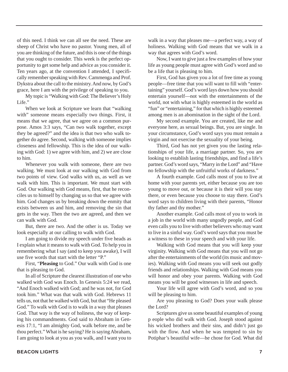of this need. I think we can all see the need. These are sheep of Christ who have no pastor. Young men, all of you are thinking of the future, and this is one of the things that you ought to consider. This week is the perfect opportunity to get some help and advice as you consider it. Ten years ago, at the convention I attended, I specifically remember speaking with Rev. Cammenga and Prof. Dykstra about the call to the ministry. And now, by God's grace, here I am with the privilege of speaking to you.

My topic is "Walking with God: The Believer's Holy Life.'

When we look at Scripture we learn that "walking with" someone means especially two things. First, it means that we agree, that we agree on a common purpose. Amos 3:3 says, "Can two walk together, except they be agreed?" and the idea is that two who walk together do agree. Second, walking with someone implies closeness and fellowship. This is the idea of our walking with God: 1) we agree with him, and 2) we are close to him.

Whenever you walk with someone, there are two walking. We must look at our walking with God from two points of view. God walks with us, as well as we walk with him. This is important. We must start with God. Our walking with God means, first, that he reconciles us to himself by changing us so that we agree with him. God changes us by breaking down the enmity that exists between us and him, and removing the sin that gets in the way. Then the two are agreed, and then we can walk with God.

But, there are two. And the other is us. Today we look especially at our calling to walk with God.

I am going to divide my speech under five heads as I explain what it means to walk with God. To help you in remembering what I say (and to keep you awake), I will use five words that start with the letter "P."

First, "**Pleasing** to God." Our walk with God is one that is pleasing to God.

In all of Scripture the clearest illustration of one who walked with God was Enoch. In Genesis 5:24 we read, "And Enoch walked with God; and he was not, for God took him." What was that walk with God. Hebrews 11 tells us, not that he walked with God, but that "He pleased God." To walk with God is to walk in a way that pleases God. That way is the way of holiness, the way of keeping his commandments. God said to Abraham in Genesis 17:1, "I am almighty God, walk before me, and be thou perfect." What is he saying? He is saying Abraham, I am going to look at you as you walk, and I want you to

walk in a way that pleases me—a perfect way, a way of holiness. Walking with God means that we walk in a way that agrees with God's word.

Now, I want to give just a few examples of how your life as young people must agree with God's word and so be a life that is pleasing to him.

First, God has given you a lot of free time as young people—free time that you will want to fill with "entertaining" yourself. God's word lays down how you should entertain yourself—not with the entertainments of the world, not with what is highly esteemed in the world as "fun" or "entertaining," for that which is highly esteemed among men is an abomination in the sight of the Lord.

My second example. You are created, like me and everyone here, as sexual beings. But, you are single. In your circumstance, God's word says you must remain a virgin and not exercise the sexuality of your being.

Third, God has not yet given you the lasting relationships of your life, a marriage partner. So, you are looking to establish lasting friendships, and find a life's partner. God's word says, "Marry in the Lord" and "Have no fellowship with the unfruitful works of darkness."

A fourth example. God calls most of you to live at home with your parents yet, either because you are too young to move out, or because it is their will you stay there, or even because you choose to stay there. God's word says to children living with their parents, "Honor thy father and thy mother."

Another example. God calls most of you to work in a job in the world with many ungodly people, and God even calls you to live with other believers who may want to live in a sinful way. God's word says that you must be a witness to these in your speech and with your life.

Walking with God means that you will keep your virginity. Walking with God means that you will not go after the entertainments of the world (its music and movies). Walking with God means you will seek out godly friends and relationships. Walking with God means you will honor and obey your parents. Walking with God means you will be good witnesses in life and speech.

Your life will agree with God's word, and so you will be pleasing to him.

Are you pleasing to God? Does your walk please the Lord?

Scriptures give us some beautiful examples of young p eople who did walk with God. Joseph stood against his wicked brothers and their sins, and didn't just go with the flow. And when he was tempted to sin by Potiphar's beautiful wife—he chose for God. What did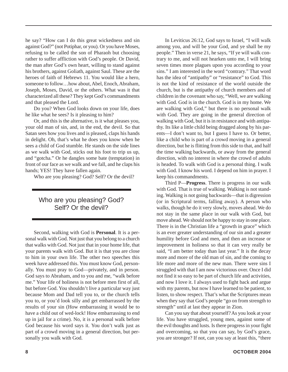he say? "How can I do this great wickedness and sin against God?" (not Potiphar, or you). Or you have Moses, refusing to be called the son of Pharaoh but choosing rather to suffer affliction with God's people. Or David, the man after God's own heart, willing to stand against his brothers, against Goliath, against Saul. These are the heroes of faith of Hebrews 11. You would like a hero, someone to follow…how about, Abel, Enoch, Abraham, Joseph, Moses, David, or the others. What was it that characterized all these? They kept God's commandments and that pleased the Lord.

Do you? When God looks down on your life, does he like what he sees? Is it pleasing to him?

Or, and this is the alternative, is it what pleases you, your old man of sin, and, in the end, the devil. So that Satan sees how you lives and is pleased, claps his hands in delight. Oh, that's what he does you know when he sees a child of God stumble. He stands on the side lines as we walk with God, sticks out his foot to trip us up, and "gotcha." Or he dangles some bate (temptation) in front of our face as we walk and we fall, and he claps his hands; YES! They have fallen again.

Who are you pleasing? God? Self? Or the devil?

#### Who are you pleasing? God? Self? Or the devil?

Second, walking with God is **Personal**. It is a personal walk with God. Not just that you belong to a church that walks with God. Not just that in your home life, that your parents walk with God. But it is that you are close to him in your own life. The other two speeches this week have addressed this. You must know God, personally. You must pray to God—privately, and in person. God says to Abraham, and to you and me, "walk before me." Your life of holiness is not before men first of all, but before God. You shouldn't live a particular way just because Mom and Dad tell you to, or the church tells you to, or you'd look silly and get embarrassed by the results of your sin (How embarrassing it would be to have a child out of wed-lock! How embarrassing to end up in jail for a crime). No, it is a personal walk before God because his word says it. You don't walk just as part of a crowd moving in a general direction, but personally you walk with God.

In Leviticus 26:12, God says to Israel, "I will walk among you, and will be your God, and ye shall be my people." Then in verse 21, he says, "If ye will walk contrary to me, and will not hearken unto me, I will bring seven times more plagues upon you according to your sins." I am interested in the word "contrary." That word has the idea of "antipathy" or "resistance" to God. This is not the kind of resistance of the world outside the church, but is the antipathy of church members and of children in the covenant who say, "Well, we are walking with God. God is in the church. God is in my home. We are walking with God," but there is no personal walk with God. They are going in the general direction of walking with God, but it is in resistance and with antipathy. Its like a little child being dragged along by his parents—I don't want to, but I guess I have to. Or better, like a child who is part of a crowd moving in a general direction, but he is flitting from this side to that, and half the time walking backwards, or away from the general direction, with no interest in where the crowd of adults is headed. To walk with God is a personal thing. I walk with God. I know his word. I depend on him in prayer. I keep his commandments.

Third P—**Progress**. There is progress in our walk with God. That is true of walking. Walking is not standing. Walking is not going backwards—that is digression (or in Scriptural terms, falling away). A person who walks, though he do it very slowly, moves ahead. We do not stay in the same place in our walk with God, but move ahead. We should not be happy to stay in one place. There is in the Christian life a "growth in grace" which is an ever greater understanding of our sin and a greater humility before God and men, and then an increase or improvement in holiness so that it can very really be said, "I am better today than last year." It is the decay more and more of the old man of sin, and the coming to life more and more of the new man. There were sins I struggled with that I am now victorious over. Once I did not find it so easy to be part of church life and activities, and now I love it. I always used to fight back and argue with my parents, but now I have learned to be patient, to listen, to show respect. That's what the Scriptures mean when they say that God's people "go on from strength to strength" until at last they appear in Zion.

Can you say that about yourself? As you look at your life. You have struggled, young men, against some of the evil thoughts and lusts. Is there progress in your fight and overcoming, so that you can say, by God's grace, you are stronger? If not, can you say at least this, "there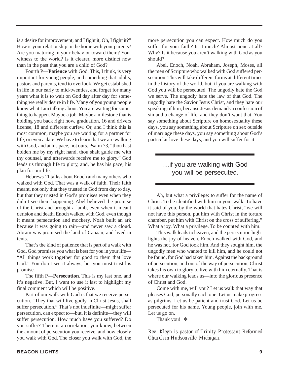is a desire for improvement, and I fight it, Oh, I fight it?" How is your relationship in the home with your parents? Are you maturing in your behavior toward them? Your witness to the world? Is it clearer, more distinct now than in the past that you are a child of God?

Fourth P—**Patience** with God. This, I think, is very important for young people, and something that adults, pastors and parents, tend to overlook. We get established in life in our early to mid-twenties, and forget for many years what it is to wait on God day after day for something we really desire in life. Many of you young people know what I am talking about. You are waiting for something to happen. Maybe a job. Maybe a milestone that is holding you back right now, graduation, 16 and drivers license, 18 and different curfew. Or, and I think this is most common, maybe you are waiting for a partner for life, or even a date. We have to learn that we are walking with God, and at his pace, not ours. Psalm 73, "thou hast holden me by my right hand, thou shalt guide me with thy counsel, and afterwards receive me to glory." God leads us through life to glory, and, he has his pace, his plan for our life.

Hebrews 11 talks about Enoch and many others who walked with God. That was a walk of faith. Their faith meant, not only that they trusted in God from day to day, but that they trusted in God's promises even when they didn't see them happening. Abel believed the promise of the Christ and brought a lamb, even when it meant derision and death. Enoch walked with God, even though it meant persecution and mockery. Noah built an ark because it was going to rain—and never saw a cloud. Abram was promised the land of Canaan, and lived in tents.

That's the kind of patience that is part of a walk with God. God promises you what is best for you in your life— "All things work together for good to them that love God." You don't see it always, but you must trust his promise.

The fifth P—**Persecution**. This is my last one, and it's negative. But, I want to use it last to highlight my final comment which will be positive.

Part of our walk with God is that we receive persecution. "They that will live godly in Christ Jesus, shall suffer persecution." That's not indefinite—might suffer persecution, can expect to—but, it is definite—they will suffer persecution. How much have you suffered? Do you suffer? There is a correlation, you know, between the amount of persecution you receive, and how closely you walk with God. The closer you walk with God, the

more persecution you can expect. How much do you suffer for your faith? Is it much? Almost none at all? Why? Is it because you aren't walking with God as you should?

Abel, Enoch, Noah, Abraham, Joseph, Moses, all the men of Scripture who walked with God suffered persecution. This will take different forms at different times in the history of the world, but, if you are walking with God you will be persecuted. The ungodly hate the God we serve. The ungodly hate the law of that God. The ungodly hate the Savior Jesus Christ, and they hate our speaking of him, because Jesus demands a confession of sin and a change of life, and they don't want that. You say something about Scripture on homosexuality these days, you say something about Scripture on sex outside of marriage these days, you say something about God's particular love these days, and you will suffer for it.

#### …if you are walking with God you will be persecuted.

Ah, but what a privilege: to suffer for the name of Christ. To be identified with him in your walk. To have it said of you, by the world that hates Christ, "we will not have this person, put him with Christ in the torture chamber, put him with Christ on the cross of suffering." What a joy. What a privilege. To be counted with him.

This walk leads to heaven; and the persecution highlights the joy of heaven. Enoch walked with God, and he was not, for God took him. And they sought him, the ungodly men who wanted to kill him, and he could not be found, for God had taken him. Against the background of persecution, and out of the way of persecution, Christ takes his own to glory to live with him eternally. That is where our walking leads us—into the glorious presence of Christ and God.

Come with me, will you? Let us walk that way that pleases God, personally each one. Let us make progress as pilgrims. Let us be patient and trust God. Let us be persecuted for his name. Young people, join with me, Let us go on.

Thank you! ❖

*\_\_\_\_\_\_\_\_\_\_\_\_\_\_\_\_\_\_\_\_\_\_\_\_\_\_\_\_\_\_\_\_\_\_\_\_\_\_\_\_\_\_\_\_\_\_\_\_\_ Rev. Kleyn is pastor of Trinity Protestant Reformed Church in Hudsonville, Michigan.*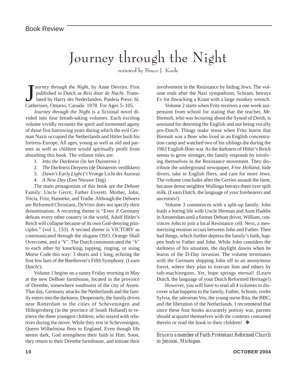# Journey through the Night

reviewed by Bruce J. Koole

Journey through the Night, by Anne Devries. Figuilated in Dutch as *Reis door de Nacht*. Trailated by Harry der Nederlanden. Paideia Press:<br>Catherines, Ontario, Canada: 1978. For Ages 5–105. **Fourney through the Night, by Anne Devries. First** published in Dutch as *Reis door de Nacht.* Translated by Harry der Nederlanden. Paideia Press: St.

*Journey through the Night* is a fictional novel divided into four breath-taking volumes. Each exciting volume vividly recounts the spirit and tormented agony of those five harrowing years during which the evil German Nazis occupied the Netherlands and Hitler built his fortress-Europe. All ages, young as well as old and parents as well as children would spiritually profit from absorbing this book. The volume titles are:

- 1. *Into the Darkness* (In het Duisternis )
- 2. *The Darkness Deepens* (de Duisternis verdikken)
- 3. *Dawn's Early Light* ('t Vroege Licht der Aurora)
- 4. *A New Day* (Een Nieuwe Dag)

The main protagonists of this book are the Deboer Family: Uncle Gerrit, Father Everett, Mother, John, Tricia, Fritz, Hanneke, and Trudie. Although the Deboers are Reformed Christians, DeVries does not specify their denomination. A recurring theme is "Even if Germany defeats every other country in the world, Adolf Hitler's Reich will collapse because of its own God-denying principles." (vol 1, 133). A second theme is VICTORY as communicated through the slogans OSO, Orange Shall Overcome, and a 'V'. The Dutch communicated the 'V' to each other by knocking, tapping, ringing, or using Morse Code this way: 3 shorts and 1 long, echoing the first few bars of the Beethoven's Fifth Symphony. (Learn Dutch!)

Volume 1 begins on a sunny Friday morning in May at the new DeBoer farmhouse, located in the province of Drenthe, somewhere southwest of the city of Assen. That day, Germany attacks the Netherlands and the family enters into the darkness. Desperately, the family drives near Rotterdam to the cities of Scheveningen and Hillegersberg (in the province of South Holland) to retrieve the three youngest children, who stayed with relatives during the move. While they rest in Scheveningen, Queen Wilhelmina flees to England. Even though life seems dark, God strengthens their faith in Him. Soon, they return to their Drenthe farmhouse, and initiate their involvement in the Resistance by hiding Jews. The volume ends after the Nazi sympathizer, Schram, betrays Ev for thwacking a Kraut with a large monkey wrench.

Volume 2 starts when Fritz receives a one week suspension from school for stating that the teacher, Mr. Biemolt, who was lecturing about the Synod of Dordt, is *unsound* for detesting the English and not being vocally pro-Dutch. Things make sense when Fritz learns that Biemolt was a Boer who lived in an English concentration camp and watched two of his siblings die during the 1902 English-Boer war. As the darkness of Hitler's Reich seems to grow stronger, the family responds by involving themselves in the Resistance movement. They distribute the underground newspaper, *Free Holland*, hide divers, take in English fliers, and care for more Jews. The volume concludes after the Gerries assault the farm, because dense neighbor Wallinga betrays them over spilt milk. (Learn Dutch, the language of your forebearers and ancestors!)

Volume 3 commences with a split-up family. John leads a boring life with Uncle Herman and Aunt Haddie in Amsterdam until a former Deboer driver, William, convinces John to join a local Resistance cell. Next, a mesmerizing reunion occurs between John and Father. Then bad things, which further depress the family's faith, happen both to Father and John. While John considers the darkness of his situation, the daylight dawns when he learns of the D-Day invasion. The volume terminates with the Germans shipping John off to an anonymous forest, where they plan to execute him and others by sub-machineguns. Yet, hope springs eternal! (Learn Dutch, the language of your Dutch Reformed Heritage!)

However, you will have to read all 4 volumes to discover what happens to the family, Father, Schram, svelte Sylvia, the salesman Vos, the young nurse Rita, the BBC, and the liberation of the Netherlands. I recommend that since these four books accurately portray war, parents should acquaint themselves with the contents contained therein or read the book to their children! ❖

*\_\_\_\_\_\_\_\_\_\_\_\_\_\_\_\_\_\_\_\_\_\_\_\_\_\_\_\_\_\_\_\_\_\_\_\_\_\_\_\_\_\_\_\_\_\_\_\_\_\_ Bruce is a member of Faith Protestant Reformed Church in Jenison, Michigan.*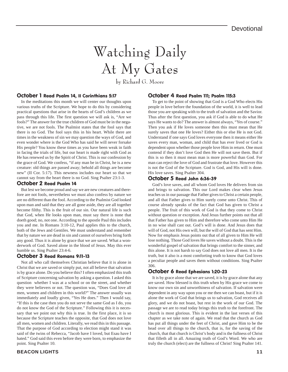# Watching Daily At My Gates

by Richard G. Moore

#### October 1 Read Psalm 14, II Corinthians 5:17

In the meditations this month we will center our thoughts upon various truths of the Scripture. We hope to do this by considering practical questions that arise in the hearts of God's children as we pass through this life. The first question we will ask is, "Are we fools?" The answer for the true children of God must be in the negative, we are not fools. The Psalmist states that the fool says that there is no God. The fool says this in his heart. While there are times in the weakness of sin we may question the ways of God, and even wonder where is the God Who has said he will never forsake His people? You know these times as you have been weak in faith in facing the trials of life, but our heart is made right with God as He has renewed us by the Spirit of Christ. This is our confession by the grace of God. We confess, "if any man be in Christ, he is a new creature: old things are passed away; behold all things are become new" (II Cor. 5:17). This newness includes our heart so that we cannot say from the heart there is no God. Sing Psalter 23:1-3.

#### October 2 Read Psalm 14

But lest we become proud and say we are new creatures and therefore are not fools, nevertheless we must also confess by nature we are no different than the fool. According to the Psalmist God looked upon man and said that they are all gone aside, they are all together become filthy. This is the fruit of our sin. Our natural life is such that God, when He looks upon man, must say there is none that doeth good; no, not one. According to the apostle Paul this includes you and me. In Romans 3:10-12, Paul applies this to the church, both of the Jews and Gentiles. We must understand and remember that by nature we are dead in sin and cannot of ourselves bring forth any good. Thus it is alone by grace that we are saved. What a wonderwork of God. Saved alone in the blood of Jesus. May this ever humble us. Sing Psalter 23:4-6.

#### October 3 Read Romans 9:11-13

Not all who call themselves Christian believe that it is alone in Christ that we are saved or simply put, not all believe that salvation is by grace alone. Do you believe this? I often emphasized this truth of Scripture concerning salvation by asking a question. I asked this question whether I was at a school or on the street, and whether they were believers or not. The question was, "Does God love all men, women and children in this world?" The answer usually was immediately and loudly given, "Yes He does." Then I would say, "If this is the case then you do not serve the same God as I do, you do not know the God of the Scripture." Following this it is necessary that we point out why this is true. In the first place, it is so because the Scripture teaches the opposite, that God does not love all men, women and children. Literally, we read this in this passage. That the purpose of God according to election might stand it was said of the twins of Rebecca, "Jacob have I loved, but Esau have I hated." God said this even before they were born, to emphasize the point. Sing Psalter 10.

#### October 4 Read Psalm 111; Psalm 115:3

To get to the point of showing that God is a God Who elects His people in love before the foundation of the world, it is well to lead those you are speaking with to the truth of salvation and the Savior. Thus after the first question, you ask if God is able to do what He says He wants to do? The answer is almost always, "Yes of course." Then you ask if He loves someone then this must mean that He surely saves that one He loves? Either this or else He is not God. Understand if one says God loves everyone then it means either He saves every man, woman, and child that has ever lived or God is dependent upon whether those people love Him in return. One must contend if they don't love God then He will not save them. But if this is so then it must mean man is more powerful than God. For man can reject the love of God and frustrate that love. However this is not the God of the Scripture. God is God, and His will is done. His love saves. Sing Psalter 304.

#### October 5 Read John 6:36-39

God's love saves, and all whom God loves He delivers from sin and brings to salvation. This our Lord makes clear when Jesus teaches us in our passage that Father gives to Christ a certain people, and all that Father gives to Him surely come unto Christ. This of course already speaks of the fact that God has given to Christ a people. The fruit of this work of God is that they come to Christ without question or exception. And Jesus further points out that all that Father has given to Him and therefore who come unto Him He in no wise shall cast out. God's will is done. And Jesus does that will of God, not His own will, but the will of God that has sent Him. Now for emphasis Jesus points out that of all given to Him He will lose nothing. Those God loves He saves without a doubt. This is the wonderful gospel of salvation that brings comfort to the sinner, and this alone. It is not harsh to say God does not love all men. It is the truth, but it also is a most comforting truth to know that God loves a peculiar people and saves them without conditions. Sing Psalter 306.

#### October 6 Read Ephesians 1:20-23

It is by grace alone that we are saved, it is by grace alone that any are saved. How blessed is this truth when by His grace we come to know our own sin and unworthiness of salvation. If salvation were dependent in any way upon you or me then we can boast, but if it is alone the work of God that brings us to salvation, God receives all glory, and we do not boast, but rest in the work of our God. The passage we are to read today brings this truth to the forefront. The church is most glorious. This is evident in the last verses of this chapter as we take note of again. We read that the church as God has put all things under the feet of Christ, and gave Him to be the head over all things to the church, that is, for the saving of the church, that that church is Christ's body and is the fullness of Christ that filleth all in all. Amazing truth of God's Word. We who are truly the church (elect) are the fullness of Christ! Sing Psalter 141.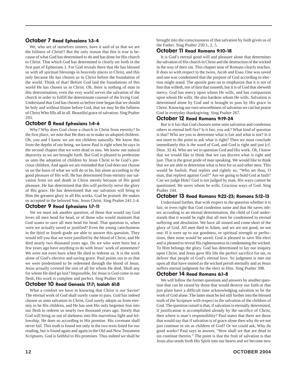#### October 7 Read Ephesians 1:3-4

We, who are of ourselves sinners, have it said of us that we are the fullness of Christ!! But the only reason that this is true is because of what God has determined to do and has done for His church in Christ. That which God has determined is clearly set forth in the first part of Ephesians 1. For God reveals there that He has blessed us with all spiritual blessings in heavenly places in Christ, and this only because He has chosen us in Christ before the foundation of the world. Think of that! Before God laid the foundations of this world He has chosen us in Christ. Oh, there is nothing of man in this determination; even the very world serves the salvation of the church in order to fulfill the determinate counsel of the living God. Understand that God has chosen us before time began that we should be holy and without blame before God, that we may be the fullness of Christ Who fills all in all. Beautiful grace of salvation. Sing Psalter 293.

#### October 8 Read Ephesians 1:4-6

Why? Why does God chose a church in Christ from eternity? In the first place, we note that He does so to make us adopted children. Oh, you and I know we are not children naturally. We know this from the depths of our being, we know Paul is right when he says in the second chapter that we were dead in sins. We know our natural depravity as we are brought forth. But God is pleased to predestine us unto the adoption of children by Jesus Christ to be God's precious children. And again we are reminded that God does not choose us on the basis of what we will do or be, but alone according to the good pleasure of His will. He has determined from eternity our salvation from sin and death in Christ merely because of His good pleasure. He has determined that this will perfectly serve the glory of His grace. He has determined that our salvation will bring to Him the greatest glory in all His works. God be praised. He makes us accepted in the beloved Son, Jesus Christ. Sing Psalter 241:1-4.

#### October 9 Read Ephesians 1:7-11

Yet we must ask another question, of those that would say God loves all men head for head, or of those who would maintain that God wants to save all men head for head. That question is, when were we actually saved or justified? Even the young catechumens in the third or fourth grade are able to answer this question. They would tell you that we were justified by the blood of Christ, and He died nearly two thousand years ago. Do we who were born but a few years ago have anything to do with Jesus' work of atonement? We were not even born when He died to redeem us. It is the work alone of God's elective and saving grace. Paul points out to us that we were predestined to be redeemed through the blood of Jesus. Jesus actually covered the sins of all for whom He died. Shall any for whom He died go lost? Impossible, for Jesus is God come in our flesh, His work is complete and perfect. Sing Psalter 163.

#### October 10 Read Genesis 17:7; Isaiah 61:8

What a comfort we have in knowing that Christ is our Savior! The eternal work of God shall surely come to pass. God has indeed chosen us unto salvation in Christ, God surely adopts us from eternity to be His children, and He has sent His only begotten Son into our flesh to redeem us nearly two thousand years ago. Surely that God will bring us out of darkness into His marvelous light and fellowship. He does so according to His promise. His covenant shall never fail. This truth is found not only in the two texts listed for our reading, but is found again and again in the Old and New Testament Scriptures. God is faithful to His promises. Thus indeed we shall be

brought into the consciousness of that salvation by faith given us of the Father. Sing Psalter 250:1, 2, 5.

#### October 11 Read Romans 9:10-18

It is God's eternal good will and pleasure alone that determines the salvation of His church in Christ and the destruction of the wicked in the way of their sin. This chapter nine of Romans clearly teaches. It does so with respect to the twins, Jacob and Esau. One was saved and one was condemned that the purpose of God according to election might stand. The apostle goes on to emphasize that it is not of him that willeth, nor of him that runneth, but it is of God that sheweth mercy. God has mercy upon whom He wills, and has compassion upon whom He wills. He also hardens whom He wills. Salvation is determined alone by God and is brought to pass by His grace in Christ. Knowing our own unworthiness of salvation we can but praise God in everyday thanksgiving. Sing Psalter 267.

#### October 12 Read Romans 9:19-24

But is it fair that God chooses some unto salvation and condemns others to eternal hell fire? Is it fair, you ask? What kind of question is that? Who are you to determine what is fair and what is not? Is it not more to the point to ask what is right? Then we must conclude immediately this is the word of God, and God is right and just (cf. Deut. 32:4). Who are we to question God and His work. Oh, I know that we would like to think that we can discern what is right and just. That is the great pride of man speaking. We would like to think that we are able to determine what is best for us and other men. This would be foolish. Paul replies and rightly so, "Who art thou, O man, that repliest against God?" Are we going to hold God at fault? Can we judge Him? God is not judged by man, His ways cannot be questioned. He saves whom he wills. Gracious ways of God. Sing Psalter 244.

#### October 13 Read Romans 9:22-23; Romans 5:12-13

Understand further, that with respect to the question whether it is fair, or even right that God condemns some and that He saves others according to an eternal determination, the child of God understands that it would be right that all men be condemned to eternal suffering and desolation. We have all sinned and come short of the glory of God. All men died in Adam, and we are not good, no not one. If it were up to our goodness, or spiritual strength or perfections, then none would be saved. God is pleased to save His elect and is pleased to reveal His righteousness in condemning the wicked. To Him belongs the glory. God has determined to lay our iniquity upon Christ, and Jesus gave His life the perfect sacrifice for sin, to deliver that people of God's eternal love. So judgment is met out upon all that have sinned as the wicked perish eternally and as Jesus suffers eternal judgment for the elect in Him. Sing Psalter 398.

#### October 14 Read Romans 6:1-8

We will follow the former questions and answers by another question that can be raised by those that would destroy our faith or that just plain have a difficult time acknowledging salvation to be the work of God alone. The latter must be led still further into the blessed truth of the Scripture with respect to the salvation of the children of God. The question raised is that, if salvation is eternally determined, if justification is accomplished already by the sacrifice of Christ, then where is man's responsibility? Paul states that there are those that would say that if salvation is of grace alone then why do we not just continue in sin as children of God? Or we could ask, Why do good works? Paul says in answer, "How shall we that are dead to sin continue therein." The point is that the fruit of salvation is that Jesus also sends forth His Spirit into our hearts and we become new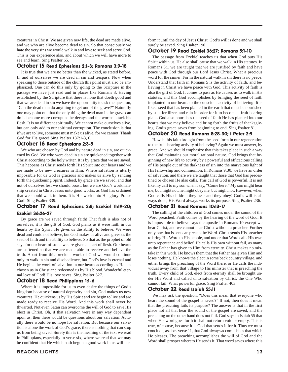creatures in Christ. We are given new life, the dead are made alive, and we who are alive become dead to sin. So that consciously we hate the very sins we would walk in and love to seek and serve God. This is our experience also, and about which we will have more to see and learn. Sing Psalter 65.

#### October 15 Read Ephesians 2:1-3; Romans 3:9-18

It is true that we are no better than the wicked, as stated before. In and of ourselves we are dead in sin and trespass. Now when speaking to those outside of the church this point must also be emphasized. One can do this only by going to the Scripture in the passage we have just read and in places like Romans 3. Having established by the Scripture that there is none that doeth good and that we are dead in sin we have the opportunity to ask the question, "Can the dead man do anything to get out of the grave?" Naturally one may point out that the only thing the dead man in the grave can do is become more corrupt as he decays and the worms attack his flesh. It is no different spiritually. We cannot make ourselves alive, but can only add to our spiritual corruption. The conclusion is that if we are to live, someone must make us alive, for we cannot. Thank God for His grace! Sing Psalter 137:1-3, 6.

#### October 16 Read Ephesians 2:3-5

We who are chosen by God and by nature dead in sin, are quickened by God. We who were dead in sin are quickened together with Christ according to the holy writer. It is by grace that we are saved. This happens as Christ sends forth His Spirit into our hearts and we are made to be new creatures in Him. Where salvation is utterly impossible for us God is gracious and makes us alive by sending forth the quickening Spirit. Indeed, by grace are we saved, and that not of ourselves lest we should boast, but we are God's workmanship created in Christ Jesus unto good works, as God has ordained that we should walk in them. It is His work unto His glory. Praise God! Sing Psalter 339.

#### October 17 Read Ephesians 2:8; Ezekiel 11:19-20; Ezekiel 36:26-27

By grace are we saved through faith! That faith is also not of ourselves, it is the gift of God. God plants as it were faith in our hearts by His Spirit. He gives us the ability to believe. We were dead and could not believe, but God makes us alive and gives us the seed of faith and the ability to believe. So that as the prophet of old says for our heart of stone we are given a heart of flesh. Our hearts are softened so that we are made able to receive and believe the truth. Apart from this precious work of God we would continue only to walk in sin and disobedience, but God's love is eternal and He begins the work of salvation in our hearts according as He has chosen us in Christ and redeemed us by His blood. Wonderful eternal love of God! His love saves. Sing Psalter 327.

#### October 18 Read Philippians 1:1-6

Where it is impossible for us to even desire the things of God's kingdom because of natural depravity and sin, God makes us new creatures. He quickens us by His Spirit and we begin to live and are made ready to receive His Word. And this work shall never be thwarted. Not even Satan can overcome the will of God to save His elect in Christ. Oh, if that salvation were in any way dependent upon us, then there would be questions about our salvation. Actually there would be no hope for salvation. But because our salvation is alone the work of God's grace, there is nothing that can stop us from being saved. Surely this is the meaning of the text we read in Philippians, especially in verse six, where we read that we may be confident that He which hath begun a good work in us will per-

**BEACON LIGHTS 13**

form it until the day of Jesus Christ. God's will is done and we shall surely be saved. Sing Psalter 190.

#### October 19 Read Ezekiel 36:27; Romans 5:1-10

The passage from Ezekiel teaches us that when God puts His Spirit within us, He also shall cause that we walk in His statutes. In Romans 5:1 we are taught that we are justified by faith and have peace with God through our Lord Jesus Christ. What a precious word for the sinner. For in the natural walk in sin there is no peace. Understand that faith in Romans 5 is the activity of faith, and believing in Christ we have peace with God. This activity of faith is also the gift of God. It comes to pass as He causes us to walk in His statutes, and this God accomplishes by bringing the seed of faith implanted in our hearts to the conscious activity of believing. It is like a seed that has been planted in the earth that must be nourished by sun, fertilizer, and rain in order for it to become a fruit bearing plant. God also nourishes the seed of faith He has planted into our hearts that we may believe and bring forth the fruits of thanksgiving. God's grace saves from beginning to end. Sing Psalter 81.

#### October 20 Read Romans 8:28-30; I Peter 2:9

How is this faith brought from the seed form in our regeneration to the fruit-bearing activity of believing? Again we must answer, by grace. And we should emphasize that this takes place in such a way that God maintains our moral rational nature. God brings that beginning of new life to activity by a powerful and efficacious calling of His people out of the darkness of sin into the marvelous light of His fellowship and communion. In Romans 9:30, we have an order of salvation, and there we are taught that those that God has predestined or chosen He also calls. This call of God is powerful. It is not like my call to my son when I say, "Come here." My son might hear me, but might not, he might obey me, but might not. However, when God calls His children they hear and they obey! God's will is always done, His Word always works its purpose. Sing Psalter 236.

#### October 21 Read Romans 10:13-17

The calling of the children of God comes under the sound of the Word preached. Faith comes by the hearing of the word of God. It is impossible to believe says the apostle in Romans 10 except we hear Christ, and we cannot hear Christ without a preacher. Further only one that is sent can preach the Word. Christ sends His preacher to bring His Word to His people, and under that Word calls His own unto repentance and belief. He calls His own without fail, as many as the Father has given to Him from eternity. Christ makes no mistake in this work. He knows them that the Father has given Him and loses nothing. He knows the elect in some back country village, and either brings the preaching of the Word there, or He calls the individual away from that village to His minister that is preaching the truth. Every child of God, elect from eternity shall be brought under His Word and called unto salvation by Christ, the One Who cannot fail. What powerful grace. Sing Psalter 403.

#### October 22 Read Isaiah 55:11

We may ask the question, "Does this mean that everyone who hears the sound of the gospel is saved?" If not, then does it mean that the preaching fails its purpose? The answer is that in the first place not all that hear the sound of the gospel are saved, and the preaching on the other hand does not fail. God says in Isaiah 55 that when His word goes forth it shall not return void or empty. This is true, of course, because it is God that sends it forth. Thus we must conclude, as does verse 11, that God always accomplishes that which He pleases. The preaching accomplishes the will of God and the Word shall prosper whereto He sends it. That word saves where this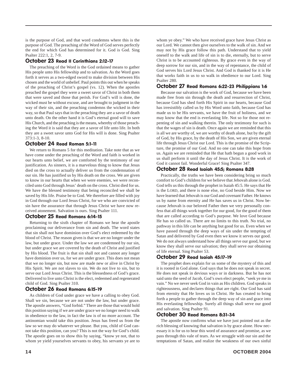is the purpose of God, and that word condemns where this is the purpose of God. The preaching of the Word of God serves perfectly the end for which God has determined for it. God is God. Sing Psalter 222:1, 2, 7-9.

#### October 23 Read II Corinthians 2:12-17

The preaching of the Word is the God ordained means to gather His people unto His fellowship and to salvation. As the Word goes forth it serves as a two-edged sword to make division between His chosen and the world of unbelief. Paul points this out when he speaks of the preaching of Christ's gospel (vs. 12). When the apostles preached the gospel they were a sweet savor of Christ in both them that were saved and those that perish. For God's will is done, the wicked must be without excuse, and are brought to judgment in the way of their sin, and the preaching condemns the wicked in their way, so that Paul says that in the preaching they are a savor of death unto death. On the other hand it is God's eternal good will to save His Church, and the preaching is the means, whereby of those preaching the Word it is said that they are a savor of life unto life. In both they are a sweet savor unto God for His will is done. Sing Psalter 373:1-3, 8-10.

#### October 24 Read Roman 5:1-11

We return to Romans 5 for this meditation. Take note that as we have come under the preaching of the Word and faith is worked in our hearts unto belief, we are comforted by the testimony of our justification. As sinners, it is a marvelous thing to know that Jesus died on the cross to actually deliver us from the condemnation of our sin. He has justified us by His death on the cross. We are given to know in our hearts that when we were enemies, we were reconciled unto God through Jesus' death on the cross. Christ died for us. We have the blessed testimony that being reconciled we shall be saved by His life. Praise be to God. We therefore are filled with joy in God through our Lord Jesus Christ, for we who are convicted of sin have the assurance that through Jesus Christ we have now received atonement. Salvation is ours. Sing Psalter 111.

#### October 25 Read Romans 6:14-15

Returning to the sixth chapter of Romans we hear the apostle proclaiming our deliverance from sin and death. The word states that sin shall not have dominion over God's elect redeemed by the blood of Christ. The reason given is that we are no longer under the law, but under grace. Under the law we are condemned by our sin, but under grace we are covered by the death of Christ and justified by His blood. The fruit is that sin shall not and cannot any longer have dominion over us, for we are under grace. This does not mean that we no longer sin, but now are made new or alive in Christ by His Spirit. We are not slaves to sin. We do not live to sin, but to serve our Lord Jesus Christ. This is the blessedness of God's grace. Delivered to live unto Christ is the elect, redeemed and regenerated child of God. Sing Psalter 310.

#### October 26 Read Romans 6:15-19

As children of God under grace we have a calling to obey God. Shall we sin, because we are not under the law, but under grace. The apostle answers, "God forbid." There are those that would hold this position saying if we are under grace we no longer need to walk in obedience to the law, in fact the law is of no more account. The antinomian would take this position. Jesus has freed us from the law so we may do whatever we please. But you, child of God cannot take this position, can you? This is not the way for God's child. The apostle goes on to show this by saying, "know ye not, that to whom ye yield yourselves servants to obey, his servants ye are to

whom ye obey." We who have received grace have Jesus Christ as our Lord. We cannot then give ourselves to the walk of sin. And we may not by His grace follow this path. Understand that to yield oneself to the walk and life of sin is to die, eternally, but to serve Christ is to be accounted righteous. By grace even in the way of deep sorrow for our sin, and in the way of repentance, the child of God serves his Lord Jesus Christ. And God is thanked for it is He that works faith in us to so walk in obedience to our Lord. Sing Psalter 280.

#### October 27 Read Romans 6:22-23 Philippians 1:6

Because our salvation is the work of God, because we have been made free from sin through the death and resurrection of Christ, because God has shed forth His Spirit in our hearts, because God has irresistibly called us by His Word unto faith, because God has made us to be His servants, we have the fruit of holiness, and we may know that the end is everlasting life. Not so for those not repenting of sin and walking therein. The only testimony for such is that the wages of sin is death. Once again we are reminded that this is all we are worthy of, we are worthy of death alone, but by the gift of God, by His grace, by the death of His Son, we are given eternal life through Jesus Christ our Lord. This is the promise of the Scripture, the promise of our God. And no one can take this hope from us. Again we are reminded that He that hath begun a good work in us shall perform it until the day of Jesus Christ. It is the work of God it cannot fail. Wonderful Grace! Sing Psalter 347.

#### October 28 Read Isaiah 45:5; Romans 8:28

Practically, the truths we have been considering bring so much comfort to God's children for we believe that Jehovah alone is God. God tells us this through the prophet in Isaiah 45:5. He says that He is the LORD, and there is none else, no God beside Him. Now we have learned that Jehovah is our God and covenant Father. He knows us by name from eternity and He has saves us in Christ. Now because Jehovah is our beloved Father then we very personally confess that all things work together for our good, for the good of them that are called according to God's purpose. We love God because He has so called us. There are no limits to this truth. No trial, no pathway in this life can be anything but good for us. Even when we have passed through the deep ways of sin under the tempting of Satan and delivered by God even then we know it serves our good. We do not always understand how all things serve our good, but we know they shall serve our salvation; they shall serve our obtaining of life eternal. Sing Psalter 53.

#### October 29 Read Isaiah 45:17-19

The prophet does explain for us some of the mystery of this and it is rooted in God alone. God says that he does not speak in secret. He does not speak in devious ways or in darkness. But he has not said unto the seed of Jacob, God's own elect people, "seek ye me in vain." No we never seek God in vain as His children. God speaks in righteousness, and declares things that are right. Our God has said from eternity that He loves us in Christ. He has created to bring forth a people to gather through the deep way of sin and grace into His everlasting fellowship. Surely all things shall serve our good and salvation. Sing Psalter 91.

#### October 30 Read Romans 8:31-34

The apostle now confirms what we have just pointed out as the rich blessing of knowing that salvation is by grace alone. How necessary it is for us to hear this word of assurance and promise, as we pass through this vale of tears. As we struggle with our sin and the temptations of Satan, and realize the weakness of our own sinful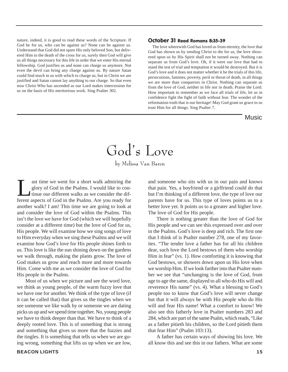nature, indeed, it is good to read these words of the Scripture. If God be for us, who can be against us? None can be against us. Understand that God did not spare His only beloved Son, but delivered Him to the death of the cross for us, surely then God will give us all things necessary for this life in order that we enter His eternal fellowship. God justifies us and none can charge us anymore. Not even the devil can bring any charge against us. By nature Satan could find much in us with which to charge us, but in Christ we are justified and Satan cannot lay anything to our charge. So that even now Christ Who has ascended as our Lord makes intercession for us on the basis of His meritorious work. Sing Psalter 302.

#### October 31 Read Romans 8:35-39

The love wherewith God has loved us from eternity, the love that God has shown us by sending Christ to die for us, the love showered upon us by His Spirit shall not be turned away. Nothing can separate us from God's love. Oh, if it were our love that had to stand the test of trial and temptation it would be destroyed. But it is God's love and it does not matter whether it be the trials of this life, persecutions, famines, poverty, peril or threat of death, in all things we are more than conquerors in Christ. Nothing can separate us from the love of God, neither in life nor in death. Praise the Lord. How important to remember as we face all trials of life, let us in confidence fight the fight of faith without fear. The wonder of the reformation truth that is our heritage! May God grant us grace to so trust Him for all things. Sing Psalter 7.

#### Music

### God's Love

by Melissa Van Baren

ast time we went for a short walk admiring the<br>glory of God in the Psalms. I would like to con-<br>tinue our different walks as we consider the dif-<br>ferent aspects of God in the Psalms. Are you ready for glory of God in the Psalms. I would like to continue our different walks as we consider the different aspects of God in the Psalms. Are you ready for another walk? I am! This time we are going to look at and consider the love of God within the Psalms. This isn't the love we have for God (which we will hopefully consider at a different time) but the love of God for us, His people. We will examine how we sing songs of love to Him everyday when we sing these Psalms and we will examine how God's love for His people shines forth to us. This love is like the sun shining down on the gardens we walk through, making the plants grow. The love of God makes us grow and reach more and more towards Him. Come with me as we consider the love of God for His people in the Psalms.

Most of us when we picture and see the word love, we think as young people, of the warm fuzzy love that we have one for another. We think of the type of love (if it can be called that) that gives us the tingles when we see someone we like walk by or someone we are dating picks us up and we spend time together. No, young people we have to think deeper than that. We have to think of a deeply rooted love. This is of something that is strong and something that gives us more that the fuzzies and the tingles. It is something that tells us when we are going wrong, something that lifts us up when we are low,

and someone who sits with us in our pain and knows that pain. Yes, a boyfriend or a girlfriend could do that but I'm thinking of a different love, the type of love our parents have for us. This type of loves points us to a better love yet. It points us to a greater and higher love. The love of God for His people.

There is nothing greater than the love of God for His people and we can see this expressed over and over in the Psalms. God's love is deep and rich. The first one that I think of is Psalter number 278, one of my favorites. "The tender love a father has for all his children dear, such love the Lord bestows of them who worship Him in fear" (vs. 1). How comforting it is knowing that God bestows, or showers down upon us His love when we worship Him. If we look farther into that Psalter number we see that "unchanging is the love of God, from age to age the same, displayed to all who do His will and reverence His name" (vs. 4). What a blessing to God's people too to know that God's love will never change but that it will always be with His people who do His will and fear His name! What a comfort to know! We also see this fatherly love in Psalter numbers 283 and 284, which are part of the same Psalm, which reads, "Like as a father pitieth his children, so the Lord pitieth them that fear Him" (Psalm 103:13).

A father has certain ways of showing his love. We all know this and see this in our fathers. What are some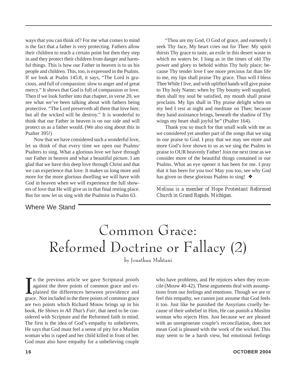ways that you can think of? For me what comes to mind is the fact that a father is very protecting. Fathers allow their children to reach a certain point but then they step in and they protect their children from danger and harmful things. This is how our Father in heaven is to us his people and children. This, too, is expressed in the Psalms. If we look at Psalm 145:8, it says, "The Lord is gracious, and full of compassion: slow to anger and of great mercy." It shows that God is full of compassion or love. Then if we look further into that chapter, in verse 20, we see what we've been talking about with fathers being protective. "The Lord preserveth all them that love him: but all the wicked will he destroy." It is wonderful to think that our Father in heaven is on our side and will protect us as a father would. (We also sing about this in Psalter 395!)

Now that we have considered such a wonderful love, let us think of that every time we open our Psalms/ Psalters to sing. What a glorious love we have through our Father in heaven and what a beautiful picture. I am glad that we have this deep love through Christ and that we can experience that love. It makes us long more and more for the more glorious dwelling we will have with God in heaven when we will experience the full showers of love that He will give us in that final resting place. But for now let us sing with the Psalmist in Psalm 63.

"Thou are my God, O God of grace, and earnestly I seek Thy face, My heart cries out for Thee: My spirit thirsts Thy grace to taste, an exile in this desert waste in which no waters be. I long as in the times of old Thy power and glory to behold within Thy holy place; because Thy tender love I see more precious far than life to me, my lips shall praise Thy grace. Thus will I bless Thee While I live, and with uplifted hands will give praise to Thy holy Name; when by Thy bounty well supplied, then shall my soul be satisfied, my mouth shall praise proclaim. My lips shall in Thy praise delight when on my bed I rest at night and meditate on Thee; because they hand assistance brings, beneath the shadow of Thy wings my heart shall joyful be" (Psalter 164).

Thank you so much for that small walk with me as we considered yet another part of the songs that we sing in our praise to God. I pray that we may see more and more God's love shown to us as we sing the Psalms in praise to OUR heavenly Father! Join me next time as we consider more of the beautiful things contained in our Psalms. What an eye opener it has been for me. I pray that it has been for you too! May you too, see why God has given us these glorious Psalms to sing! ❖

*\_\_\_\_\_\_\_\_\_\_\_\_\_\_\_\_\_\_\_\_\_\_\_\_\_\_\_\_\_\_\_\_\_\_\_\_\_\_\_\_\_\_\_\_\_\_\_\_\_\_\_ Melissa is a member of Hope Protestant Reformed Church in Grand Rapids, Michigan.*

Where We Stand

### Common Grace: Reformed Doctrine or Fallacy (2)

by Jonathan Mahtani

In the previous article we gave Scriptural proofs against the three points of common grace and explained the differences between providence and grace. Not included in the three points of common grace n the previous article we gave Scriptural proofs against the three points of common grace and explained the differences between providence and are two points which Richard Mouw brings up in his book, *He Shines in All That's Fair*, that need to be considered with Scripture and the Reformed faith in mind. The first is the idea of God's empathy to unbelievers. He says that God must feel a sense of pity for a Muslim woman who is raped and her child killed in front of her. God must also have empathy for a unbelieving couple

who have problems, and He rejoices when they reconcile (Mouw 40-42). These arguments deal with assumptions from our feelings and emotions. Though we are to feel this empathy, we cannot just assume that God feels it too. Just like he punished the Assyrians cruelly because of their unbelief in Him, He can punish a Muslim woman who rejects Him. Just because we are pleased with an unregenerate couple's reconciliation, does not mean God is pleased with the work of the wicked. This may seem to be a harsh view, but emotional feelings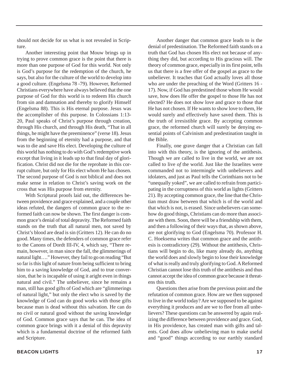should not decide for us what is not revealed in Scripture.

Another interesting point that Mouw brings up in trying to prove common grace is the point that there is more than one purpose of God for this world. Not only is God's purpose for the redemption of the church, he says, but also for the culture of the world to develop into a good culture. (Engelsma 78 -79). However, Reformed Christians everywhere have always believed that the one purpose of God for this world is to redeem His church from sin and damnation and thereby to glorify Himself (Engelsma 88). This is His eternal purpose. Jesus was the accomplisher of this purpose. In Colossians 1:13- 20, Paul speaks of Christ's purpose through creation, through His church, and through His death, "That in all things, he might have the preeminence" (verse 18). Jesus from the beginning of eternity had a purpose, and that was to die and save His elect. Developing the culture of this world has nothing to do with God's redemptive work except that living in it leads up to that final day of glorification. Christ did not die for the reprobate in this corrupt culture, but only for His elect whom He has chosen. The second purpose of God is not biblical and does not make sense in relation to Christ's saving work on the cross that was His purpose from eternity.

With Scriptural proofs laid out, the differences between providence and grace explained, and a couple other ideas refuted, the dangers of common grace to the reformed faith can now be shown. The first danger is common grace's denial of total depravity. The Reformed faith stands on the truth that all natural men, not saved by Christ's blood are dead is sin (Gritters 12). He can do no good. Many times, the defenders of common grace refer to the Canons of Dordt III-IV, 4, which say, "There remain, however, in man since the fall, the glimmerings of natural light…." However, they fail to go on reading "But so far is this light of nature from being sufficient to bring him to a saving knowledge of God, and to true conversion, that he is incapable of using it aright even in things natural and civil." The unbeliever, since he remains a man, still has good gifts of God which are "glimmerings of natural light," but only the elect who is saved by the knowledge of God can do good works with those gifts because man is dead without this salvation. He can do no civil or natural good without the saving knowledge of God. Common grace says that he can. The idea of common grace brings with it a denial of this depravity which is a fundamental doctrine of the reformed faith and Scripture.

Another danger that common grace leads to is the denial of predestination. The Reformed faith stands on a truth that God has chosen His elect not because of anything they did, but according to His gracious will. The theory of common grace, especially in its first point, tells us that there is a free offer of the gospel as grace to the unbeliever. It teaches that God actually loves all those who are under the preaching of the Word (Gritters 16 - 17). Now, if God has predestined those whom He would save, how does He offer the gospel to those He has not elected? He does not show love and grace to those that He has not chosen. If He wants to show love to them, He would surely and effectively have saved them. This is the truth of irresistible grace. By accepting common grace, the reformed church will surely be denying essential points of Calvinism and predestination taught in the Bible.

Finally, one grave danger that a Christian can fall into with this theory, is the ignoring of the antithesis. Though we are called to live in the world, we are not called to live *of* the world. Just like the Israelites were commanded not to intermingle with unbelievers and idolaters, and just as Paul tells the Corinthians not to be "unequally yoked", we are called to refrain from participating in the corruptness of this world as lights (Gritters 21). By accepting common grace, the line that the Christian must draw between that which is of the world and that which is not, is erased. Since unbelievers can somehow do good things, Christians can do more than associate with them. Soon, there will be a friendship with them, and then a following of their ways that, as shown above, are not glorifying to God (Engelsma 70). Professor H. C. Hoeksema writes that common grace and the antithesis is contradictory (29). Without the antithesis, Christians will begin to do, like many already do, anything the world does and slowly begin to lose their knowledge of what is really and truly glorifying to God. A Reformed Christian cannot lose this truth of the antithesis and thus cannot accept the idea of common grace because it threatens this truth.

Questions then arise from the previous point and the refutation of common grace. How are we then supposed to live in the world today? Are we supposed to be against everything it produces and are we to flee from all unbelievers? These questions can be answered by again realizing the difference between providence and grace. God, in His providence, has created man with gifts and talents. God does allow unbelieving man to make useful and "good" things according to our earthly standard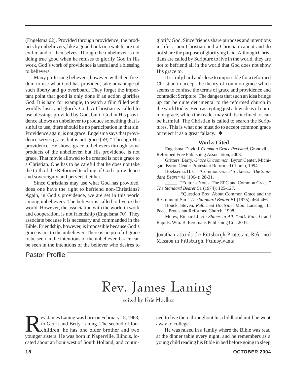(Engelsma 62). Provided through providence, the products by unbelievers, like a good book or a watch, are not evil in and of themselves. Though the unbeliever is not doing true good when he refuses to glorify God in His work, God's work of providence is useful and a blessing to believers.

Many professing believers, however, with their freedom to use what God has provided, take advantage of such liberty and go overboard. They forget the important point that good is only done if an action glorifies God. It is hard for example, to watch a film filled with worldly lusts and glorify God. A Christian is called to use blessings provided by God, but if God in His providence allows an unbeliever to produce something that is sinful to use, there should be no participation in that sin. Providence again, is not grace. Engelsma says that providence serves grace, but is not grace (59)." Through His providence, He shows grace to believers through some products of the unbeliever, but His providence is not grace. That movie allowed to be created is not a grace to a Christian. One has to be careful that he does not take the truth of the Reformed teaching of God's providence and sovereignty and pervert it either.

Since Christians may use what God has provided, does one have the right to befriend non-Christians? Again, in God's providence, we are set in this world among unbelievers. The believer is called to live *in* the world. However, the association with the world in work and cooperation, is not friendship (Engelsma 70). They associate because it is necessary and commanded in the Bible. Friendship, however, is impossible because God's grace is not to the unbeliever. There is no proof of grace to be seen in the intentions of the unbeliever. Grace can be seen in the intentions of the believer who desires to

glorify God. Since friends share purposes and intentions in life, a non-Christian and a Christian cannot and do not share the purpose of glorifying God. Although Christians are called by Scripture to live in the world, they are not to befriend all in the world that God does not show His grace to.

It is truly hard and close to impossible for a reformed Christian to accept the theory of common grace which seems to confuse the terms of grace and providence and contradict Scripture. The dangers that such an idea brings up can be quite detrimental to the reformed church in the world today. Even accepting just a few ideas of common grace, which the reader may still be inclined to, can be harmful. The Christian is called to search the Scriptures. This is what one must do to accept common grace or reject it as a great fallacy. ❖

#### **Works Cited**

Engelsma, David J. *Common Grace Revisited*. Grandville: Reformed Free Publishing Association, 2003.

Gritters, Barry. *Grace Uncommon*. Byron Center, Michigan: Byron Center Protestant Reformed Church, 1994.

Hoeksema, H. C. "'Common Grace' Sickness." *The Standard Bearer* 41 (1964): 28-31.

\_\_\_\_\_ . "Editor's Notes: The EPC and Common Grace." *The Standard Bearer* 51 (1974): 125-127.

\_\_\_\_\_ . "Question Box: About Common Grace and the Restraint of Sin." *The Standard Bearer* 51 (1975): 464-466.

Houck, Steven. *Reformed Doctrine: Man*. Lansing, IL: Peace Protestant Reformed Church, 1998.

Mouw, Richard J. *He Shines in All That's Fair*. Grand Rapids: Wm. B. Eerdmans Publishing Co., 2001.

*\_\_\_\_\_\_\_\_\_\_\_\_\_\_\_\_\_\_\_\_\_\_\_\_\_\_\_\_\_\_\_\_\_\_\_\_\_\_\_\_\_\_\_\_\_\_\_ Jonathan attends the Pittsburgh Protestant Reformed Mission in Pittsburgh, Pennsylvania.*

#### Pastor Profile

### Rev. James Laning

edited by Kris Moelker

ev. James Laning was born on February 15, 1963, to Gerrit and Betty Laning. The second of four children, he has one older brother and two younger sisters. He was born in Naperville, Illinois, located about an hour west of South Holland, and contin-

ued to live there throughout his childhood until he went away to college.

He was raised in a family where the Bible was read at the dinner table every night, and he remembers as a young child reading his Bible in bed before going to sleep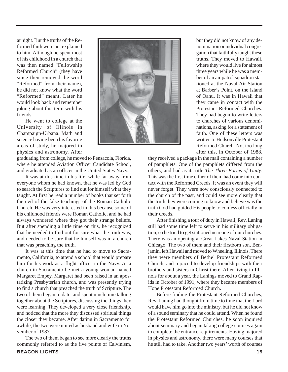at night. But the truths of the Reformed faith were not explained to him. Although he spent most of his childhood in a church that was then named "Fellowship Reformed Church" (they have since then removed the word "Reformed" from their name), he did not know what the word "Reformed" meant. Later he would look back and remember joking about this term with his friends.

He went to college at the University of Illinois in Champaign-Urbana. Math and science having been his favorite areas of study, he majored in physics and astronomy. After

graduating from college, he moved to Pensacola, Florida, where he attended Aviation Officer Candidate School, and graduated as an officer in the United States Navy.

It was at this time in his life, while far away from everyone whom he had known, that he was led by God to search the Scriptures to find out for himself what they taught. At first he read a number of books that set forth the evil of the false teachings of the Roman Catholic Church. He was very interested in this because some of his childhood friends were Roman Catholic, and he had always wondered where they got their strange beliefs. But after spending a little time on this, he recognized that he needed to find out for sure what the truth was, and needed to be sure that he himself was in a church that was preaching the truth.

It was at this time that he had to move to Sacramento, California, to attend a school that would prepare him for his work as a flight officer in the Navy. At a church in Sacramento he met a young woman named Margaret Empey. Margaret had been raised in an apostatizing Presbyterian church, and was presently trying to find a church that preached the truth of Scripture. The two of them began to date, and spent much time talking together about the Scriptures, discussing the things they were learning. They developed a very close friendship, and noticed that the more they discussed spiritual things the closer they became. After dating in Sacramento for awhile, the two were united as husband and wife in November of 1987.

The two of them began to see more clearly the truths commonly referred to as the five points of Calvinism, but they did not know of any denomination or individual congregation that faithfully taught these truths. They moved to Hawaii, where they would live for almost three years while he was a member of an air patrol squadron stationed at the Naval Air Station at Barber's Point, on the island of Oahu. It was in Hawaii that they came in contact with the Protestant Reformed Churches. They had begun to write letters to churches of various denominations, asking for a statement of faith. One of these letters was written to Hudsonville Protestant Reformed Church. Not too long after this, in October of 1988,

they received a package in the mail containing a number of pamphlets. One of the pamphlets differed from the others, and had as its title *The Three Forms of Unity*. This was the first time either of them had come into contact with the Reformed Creeds. It was an event they will never forget. They were now consciously connected to the church of the past, and could see more clearly that the truth they were coming to know and believe was the truth God had guided His people to confess officially in their creeds.

After finishing a tour of duty in Hawaii, Rev. Laning still had some time left to serve in his military obligation, so he tried to get stationed near one of our churches. There was an opening at Great Lakes Naval Station in Chicago. The two of them and their firstborn son, Benjamin, left Hawaii and moved to Wheeling, Illinois. There they were members of Bethel Protestant Reformed Church, and rejoiced to develop friendships with their brothers and sisters in Christ there. After living in Illinois for about a year, the Lanings moved to Grand Rapids in October of 1991, where they became members of Hope Protestant Reformed Church.

Before finding the Protestant Reformed Churches, Rev. Laning had thought from time to time that the Lord would have him go into the ministry, but he did not know of a sound seminary that he could attend. When he found the Protestant Reformed Churches, he soon inquired about seminary and began taking college courses again to complete the entrance requirements. Having majored in physics and astronomy, there were many courses that he still had to take. Another two years' worth of courses

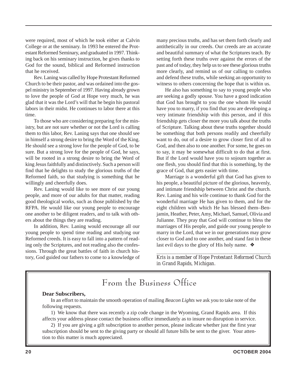were required, most of which he took either at Calvin College or at the seminary. In 1993 he entered the Protestant Reformed Seminary, and graduated in 1997. Thinking back on his seminary instruction, he gives thanks to God for the sound, biblical and Reformed instruction that he received.

Rev. Laning was called by Hope Protestant Reformed Church to be their pastor, and was ordained into the gospel ministry in September of 1997. Having already grown to love the people of God at Hope very much, he was glad that it was the Lord's will that he begin his pastoral labors in their midst. He continues to labor there at this time.

To those who are considering preparing for the ministry, but are not sure whether or not the Lord is calling them to this labor, Rev. Laning says that one should see in himself a strong desire to bring the Word of the King. He should see a strong love for the people of God, to be sure. But a strong love for the people of God, he says, will be rooted in a strong desire to bring the Word of king Jesus faithfully and distinctively. Such a person will find that he delights to study the glorious truths of the Reformed faith, so that studying is something that he willingly and cheerfully does.

Rev. Laning would like to see more of our young people, and more of our adults for that matter, reading good theological works, such as those published by the RFPA. He would like our young people to encourage one another to be diligent readers, and to talk with others about the things they are reading.

In addition, Rev. Laning would encourage all our young people to spend time reading and studying our Reformed creeds. It is easy to fall into a pattern of reading only the Scriptures, and not reading also the confessions. Through the great battles of faith in church history, God guided our fathers to come to a knowledge of

many precious truths, and has set them forth clearly and antithetically in our creeds. Our creeds are an accurate and beautiful summary of what the Scriptures teach. By setting forth these truths over against the errors of the past and of today, they help us to see these glorious truths more clearly, and remind us of our calling to confess and defend these truths, while seeking an opportunity to witness to others concerning the hope that is within us.

He also has something to say to young people who are seeking a godly spouse. You have a good indication that God has brought to you the one whom He would have you to marry, if you find that you are developing a very intimate friendship with this person, and if this friendship gets closer the more you talk about the truths of Scripture. Talking about these truths together should be something that both persons readily and cheerfully want to do, out of a desire to grow closer first of all to God, and then also to one another. For some, he goes on to say, it may be somewhat difficult to do that at first. But if the Lord would have you to sojourn together as one flesh, you should find that this is something, by the grace of God, that gets easier with time.

Marriage is a wonderful gift that God has given to his people, a beautiful picture of the glorious, heavenly, and intimate friendship between Christ and the church. Rev. Laning and his wife continue to thank God for the wonderful marriage He has given to them, and for the eight children with which He has blessed them–Benjamin, Heather, Peter, Amy, Michael, Samuel, Olivia and Julianne. They pray that God will continue to bless the marriages of His people, and guide our young people to marry in the Lord, that we in our generations may grow closer to God and to one another, and stand fast in these last evil days to the glory of His holy name. ❖

*\_\_\_\_\_\_\_\_\_\_\_\_\_\_\_\_\_\_\_\_\_\_\_\_\_\_\_\_\_\_\_\_\_\_\_\_\_\_\_\_\_\_\_\_\_\_\_\_\_\_\_\_ Kris is a member of Hope Protestant Reformed Church in Grand Rapids, Michigan.*

### From the Business Office

#### **Dear Subscribers,**

In an effort to maintain the smooth operation of mailing *Beacon Lights* we ask you to take note of the following requests.

1) We know that there was recently a zip code change in the Wyoming, Grand Rapids area. If this affects your address please contact the business office immediately as to insure no disruption in service.

2) If you are giving a gift subscription to another person, please indicate whether just the first year subscription should be sent to the giving party or should all future bills be sent to the giver. Your attention to this matter is much appreciated.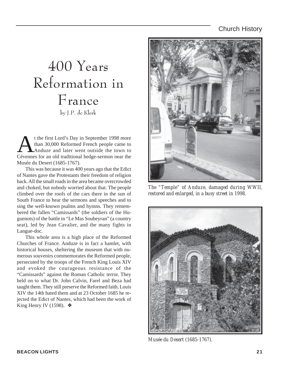#### Church History

### 400 Years Reformation in France by J.P. de Klerk

t the first Lord's Day in September 1998 more<br>than 30,000 Reformed French people came to<br>Anduze and later went outside the town to than 30,000 Reformed French people came to Anduze and later went outside the town to Cévennes for an old traditional hedge-sermon near the Musée du Desert (1685-1767).

This was because it was 400 years ago that the Edict of Nantes gave the Protestants their freedom of religion back. All the small roads in the area became overcrowded and choked, but nobody worried about that. The people climbed over the roofs of the cars there in the sun of South France to hear the sermons and speeches and to sing the well-known psalms and hymns. They remembered the fallen "Camissards" (the soldiers of the Huguenots) of the battle in "Le Mas Soubeyran" (a country seat), led by Jean Cavalier, and the many fights in Langue-doc.

This whole area is a high place of the Reformed Churches of France. Anduze is in fact a hamlet, with historical houses, sheltering the museum that with numerous souvenirs commemorates the Reformed people, persecuted by the troops of the French King Louis XIV and evoked the courageous resistance of the "Camissards" against the Roman Catholic terror. They held on to what Dr. John Calvin, Farel and Beza had taught them. They still preserve the Reformed faith. Louis XIV the 14th hated them and at 23 October 1685 he rejected the Edict of Nantes, which had been the work of King Henry IV (1598).  $\diamond$ 



*The "Temple" of Anduze, damaged during WWII, restored and enlarged, in a busy street in 1998.*



*Musée du Desert (1685-1767).*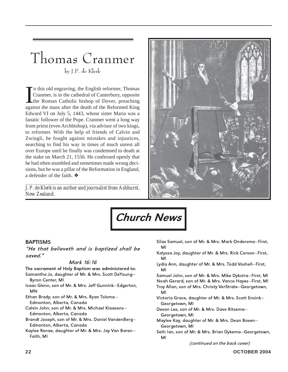### Thomas Cranmer by J.P. de Klerk

In this old engraving, the English reformer, Thomas<br>Cranmer, is in the cathedral of Canterbury, opposite<br>the Roman Catholic bishop of Dover, preaching<br>against the mass after the death of the Reformed King n this old engraving, the English reformer, Thomas Cranmer, is in the cathedral of Canterbury, opposite the Roman Catholic bishop of Dover, preaching Edward VI on July 5, 1443, whose sister Maria was a fanatic follower of the Pope. Cranmer went a long way from priest (even Archbishop), via advisor of two kings, to reformer. With the help of friends of Calvin and Zwingli, he fought against mistakes and injustices, searching to find his way in times of much unrest all over Europe until he finally was condemned to death at the stake on March 21, 1556. He confessed openly that he had often stumbled and sometimes made wrong decisions, but he was a pillar of the Reformation in England, a defender of the faith. ❖

*\_\_\_\_\_\_\_\_\_\_\_\_\_\_\_\_\_\_\_\_\_\_\_\_\_\_\_\_\_\_\_\_\_\_\_\_\_\_\_\_\_\_\_\_\_\_ J. P. de Klerk is an author and journalist from Ashhurst, New Zealand.*



# Church News

#### BAPTISMS

"He that believeth and is baptized shall be saved."

#### Mark 16:16

The sacrament of Holy Baptism was administered to: Samantha Jo, daughter of Mr. & Mrs. Scott DeYoung—

- Byron Center, MI Isaac Glenn, son of Mr. & Mrs. Jeff Gunnink—Edgerton, MN
- Ethan Brady, son of Mr. & Mrs. Ryan Tolsma— Edmonton, Alberta, Canada
- Calvin John, son of Mr. & Mrs. Michael Klaasens— Edmonton, Alberta, Canada
- Brandt Joseph, son of Mr. & Mrs. Daniel VandenBerg— Edmonton, Alberta, Canada
- Kaylee Renae, daughter of Mr. & Mrs. Jay Van Baren— Faith, MI
- Silas Samuel, son of Mr. & Mrs. Mark Ondersma—First, MI
- Kalyssa Joy, daughter of Mr. & Mrs. Rick Corson—First, MI
- Lydia Ann, daughter of Mr. & Mrs. Todd Voshell—First, MI

Samuel John, son of Mr. & Mrs. Mike Dykstra—First, MI Noah Gerard, son of Mr. & Mrs. Vance Hayes—First, MI Troy Allan, son of Mrs. Christy VerStrate—Georgetown, MI

- Victoria Grace, daughter of Mr. & Mrs. Scott Ensink— Georgetown, MI
- Devon Lee, son of Mr. & Mrs. Dave Ritsema— Georgetown, MI
- Maylee Kay, daughter of Mr. & Mrs. Dean Boven— Georgetown, MI
- Seth Ian, son of Mr. & Mrs. Brian Dykema—Georgetown, MI

(continued on the back cover)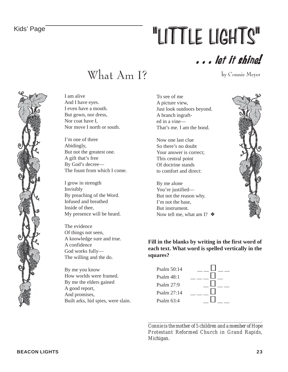# Kids' Page **The Second Control Control Control Control Control Control Control Control Control Control Control Control Control Control Control Control Control Control Control Control Control Control Control Control Control**

. . . let it shine!

What Am I?

by Connie Meyer



I am alive And I have eyes. I even have a mouth. But gown, nor dress, Nor coat have I, Nor move I north or south.

I'm one of three Abidingly, But not the greatest one. A gift that's free By God's decree— The fount from which I come.

I grow in strength Invisibly By preaching of the Word. Infused and breathed Inside of thee, My presence will be heard.

The evidence Of things not seen, A knowledge sure and true. A confidence God works fully— The willing and the do.

By me you know How worlds were framed. By me the elders gained A good report, And promises, Built arks, hid spies, were slain. To see of me A picture view, Just look outdoors beyond. A branch ingrafted in a vine— That's me. I am the bond.

Now one last clue So there's no doubt Your answer is correct; This central point Of doctrine stands to comfort and direct:

By me alone You're justified— But not the reason why. I'm not the base, But instrument. Now tell me, what am I?  $\triangleleft$ 



**Fill in the blanks by writing in the first word of each text. What word is spelled vertically in the squares?**



*\_\_\_\_\_\_\_\_\_\_\_\_\_\_\_\_\_\_\_\_\_\_\_\_\_\_\_\_\_\_\_\_\_\_\_\_\_\_\_\_\_\_\_\_\_\_\_\_ Connie is the mother of 5 children and a member of Hope Protestant Reformed Church in Grand Rapids, Michigan.*